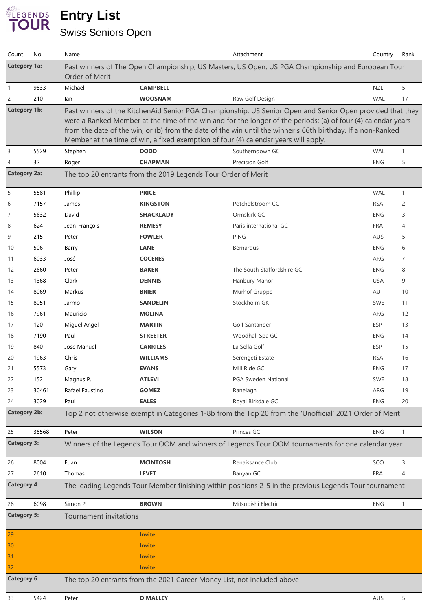## **Entry List** Swiss Seniors Open

| Count                                                                                                                        | No    | Name                                                                                                                                                                                                                                                                                                                                                                                                                             |                                                                         | Attachment                                                                                        | Country    | Rank         |  |  |
|------------------------------------------------------------------------------------------------------------------------------|-------|----------------------------------------------------------------------------------------------------------------------------------------------------------------------------------------------------------------------------------------------------------------------------------------------------------------------------------------------------------------------------------------------------------------------------------|-------------------------------------------------------------------------|---------------------------------------------------------------------------------------------------|------------|--------------|--|--|
| <b>Category 1a:</b>                                                                                                          |       | Order of Merit                                                                                                                                                                                                                                                                                                                                                                                                                   |                                                                         | Past winners of The Open Championship, US Masters, US Open, US PGA Championship and European Tour |            |              |  |  |
| $\mathbf{1}$                                                                                                                 | 9833  | Michael                                                                                                                                                                                                                                                                                                                                                                                                                          | <b>CAMPBELL</b>                                                         |                                                                                                   | <b>NZL</b> | 5            |  |  |
| 2                                                                                                                            | 210   | lan                                                                                                                                                                                                                                                                                                                                                                                                                              | <b>WOOSNAM</b>                                                          | Raw Golf Design                                                                                   | <b>WAL</b> | 17           |  |  |
| <b>Category 1b:</b>                                                                                                          |       | Past winners of the KitchenAid Senior PGA Championship, US Senior Open and Senior Open provided that they<br>were a Ranked Member at the time of the win and for the longer of the periods: (a) of four (4) calendar years<br>from the date of the win; or (b) from the date of the win until the winner's 66th birthday. If a non-Ranked<br>Member at the time of win, a fixed exemption of four (4) calendar years will apply. |                                                                         |                                                                                                   |            |              |  |  |
| 3                                                                                                                            | 5529  | Stephen                                                                                                                                                                                                                                                                                                                                                                                                                          | <b>DODD</b>                                                             | Southerndown GC                                                                                   | <b>WAL</b> | $\mathbf{1}$ |  |  |
| 4                                                                                                                            | 32    | Roger                                                                                                                                                                                                                                                                                                                                                                                                                            | <b>CHAPMAN</b>                                                          | Precision Golf                                                                                    | <b>ENG</b> | 5            |  |  |
| <b>Category 2a:</b><br>The top 20 entrants from the 2019 Legends Tour Order of Merit                                         |       |                                                                                                                                                                                                                                                                                                                                                                                                                                  |                                                                         |                                                                                                   |            |              |  |  |
| 5                                                                                                                            | 5581  | Phillip                                                                                                                                                                                                                                                                                                                                                                                                                          | <b>PRICE</b>                                                            |                                                                                                   | <b>WAL</b> | $\mathbf{1}$ |  |  |
| 6                                                                                                                            | 7157  | James                                                                                                                                                                                                                                                                                                                                                                                                                            | <b>KINGSTON</b>                                                         | Potchefstroom CC                                                                                  | <b>RSA</b> | 2            |  |  |
| 7                                                                                                                            | 5632  | David                                                                                                                                                                                                                                                                                                                                                                                                                            | <b>SHACKLADY</b>                                                        | Ormskirk GC                                                                                       | <b>ENG</b> | 3            |  |  |
| 8                                                                                                                            | 624   | Jean-François                                                                                                                                                                                                                                                                                                                                                                                                                    | <b>REMESY</b>                                                           | Paris international GC                                                                            | <b>FRA</b> | 4            |  |  |
| 9                                                                                                                            | 215   | Peter                                                                                                                                                                                                                                                                                                                                                                                                                            | <b>FOWLER</b>                                                           | <b>PING</b>                                                                                       | AUS        | 5            |  |  |
| 10                                                                                                                           | 506   | Barry                                                                                                                                                                                                                                                                                                                                                                                                                            | <b>LANE</b>                                                             | Bernardus                                                                                         | <b>ENG</b> | 6            |  |  |
| 11                                                                                                                           | 6033  | José                                                                                                                                                                                                                                                                                                                                                                                                                             | <b>COCERES</b>                                                          |                                                                                                   | ARG        | 7            |  |  |
| 12                                                                                                                           | 2660  | Peter                                                                                                                                                                                                                                                                                                                                                                                                                            | <b>BAKER</b>                                                            | The South Staffordshire GC                                                                        | <b>ENG</b> | 8            |  |  |
| 13                                                                                                                           | 1368  | Clark                                                                                                                                                                                                                                                                                                                                                                                                                            | <b>DENNIS</b>                                                           | Hanbury Manor                                                                                     | <b>USA</b> | 9            |  |  |
| 14                                                                                                                           | 8069  | Markus                                                                                                                                                                                                                                                                                                                                                                                                                           | <b>BRIER</b>                                                            | Murhof Gruppe                                                                                     | AUT        | 10           |  |  |
| 15                                                                                                                           | 8051  | Jarmo                                                                                                                                                                                                                                                                                                                                                                                                                            | <b>SANDELIN</b>                                                         | Stockholm GK                                                                                      | <b>SWE</b> | 11           |  |  |
| 16                                                                                                                           | 7961  | Mauricio                                                                                                                                                                                                                                                                                                                                                                                                                         | <b>MOLINA</b>                                                           |                                                                                                   | ARG        | 12           |  |  |
| 17                                                                                                                           | 120   | Miguel Angel                                                                                                                                                                                                                                                                                                                                                                                                                     | <b>MARTIN</b>                                                           | Golf Santander                                                                                    | <b>ESP</b> | 13           |  |  |
| 18                                                                                                                           | 7190  | Paul                                                                                                                                                                                                                                                                                                                                                                                                                             | <b>STREETER</b>                                                         | Woodhall Spa GC                                                                                   | <b>ENG</b> | 14           |  |  |
| 19                                                                                                                           | 840   | Jose Manuel                                                                                                                                                                                                                                                                                                                                                                                                                      | <b>CARRILES</b>                                                         | La Sella Golf                                                                                     | <b>ESP</b> | 15           |  |  |
| 20                                                                                                                           | 1963  | Chris                                                                                                                                                                                                                                                                                                                                                                                                                            | <b>WILLIAMS</b>                                                         | Serengeti Estate                                                                                  | <b>RSA</b> | 16           |  |  |
| 21                                                                                                                           | 5573  | Gary                                                                                                                                                                                                                                                                                                                                                                                                                             | <b>EVANS</b>                                                            | Mill Ride GC                                                                                      | <b>ENG</b> | 17           |  |  |
| 22                                                                                                                           | 152   | Magnus P.                                                                                                                                                                                                                                                                                                                                                                                                                        | <b>ATLEVI</b>                                                           | <b>PGA Sweden National</b>                                                                        | SWE        | 18           |  |  |
| 23                                                                                                                           | 30461 | Rafael Faustino                                                                                                                                                                                                                                                                                                                                                                                                                  | <b>GOMEZ</b>                                                            | Ranelagh                                                                                          | ARG        | 19           |  |  |
| 24                                                                                                                           | 3029  | Paul                                                                                                                                                                                                                                                                                                                                                                                                                             | <b>EALES</b>                                                            | Royal Birkdale GC                                                                                 | <b>ENG</b> | 20           |  |  |
| <b>Category 2b:</b>                                                                                                          |       | Top 2 not otherwise exempt in Categories 1-8b from the Top 20 from the 'Unofficial' 2021 Order of Merit                                                                                                                                                                                                                                                                                                                          |                                                                         |                                                                                                   |            |              |  |  |
| 25                                                                                                                           | 38568 | Peter                                                                                                                                                                                                                                                                                                                                                                                                                            | <b>WILSON</b>                                                           | Princes GC                                                                                        | <b>ENG</b> | $\mathbf{1}$ |  |  |
| <b>Category 3:</b>                                                                                                           |       | Winners of the Legends Tour OOM and winners of Legends Tour OOM tournaments for one calendar year                                                                                                                                                                                                                                                                                                                                |                                                                         |                                                                                                   |            |              |  |  |
| 26                                                                                                                           | 8004  | Euan                                                                                                                                                                                                                                                                                                                                                                                                                             | <b>MCINTOSH</b>                                                         | Renaissance Club                                                                                  | SCO        | 3            |  |  |
| 27                                                                                                                           | 2610  | Thomas                                                                                                                                                                                                                                                                                                                                                                                                                           | <b>LEVET</b>                                                            | Banyan GC                                                                                         | <b>FRA</b> | 4            |  |  |
| <b>Category 4:</b><br>The leading Legends Tour Member finishing within positions 2-5 in the previous Legends Tour tournament |       |                                                                                                                                                                                                                                                                                                                                                                                                                                  |                                                                         |                                                                                                   |            |              |  |  |
| 28                                                                                                                           | 6098  | Simon P                                                                                                                                                                                                                                                                                                                                                                                                                          | <b>BROWN</b>                                                            | Mitsubishi Electric                                                                               | <b>ENG</b> | $\mathbf{1}$ |  |  |
| <b>Category 5:</b>                                                                                                           |       | <b>Tournament invitations</b>                                                                                                                                                                                                                                                                                                                                                                                                    |                                                                         |                                                                                                   |            |              |  |  |
| 29                                                                                                                           |       |                                                                                                                                                                                                                                                                                                                                                                                                                                  | <b>Invite</b>                                                           |                                                                                                   |            |              |  |  |
| 30                                                                                                                           |       |                                                                                                                                                                                                                                                                                                                                                                                                                                  | <b>Invite</b>                                                           |                                                                                                   |            |              |  |  |
| 31                                                                                                                           |       |                                                                                                                                                                                                                                                                                                                                                                                                                                  | <b>Invite</b>                                                           |                                                                                                   |            |              |  |  |
| 32                                                                                                                           |       |                                                                                                                                                                                                                                                                                                                                                                                                                                  | <b>Invite</b>                                                           |                                                                                                   |            |              |  |  |
| <b>Category 6:</b>                                                                                                           |       |                                                                                                                                                                                                                                                                                                                                                                                                                                  | The top 20 entrants from the 2021 Career Money List, not included above |                                                                                                   |            |              |  |  |
| 33                                                                                                                           | 5424  | Peter                                                                                                                                                                                                                                                                                                                                                                                                                            | <b>O'MALLEY</b>                                                         |                                                                                                   | AUS        | 5            |  |  |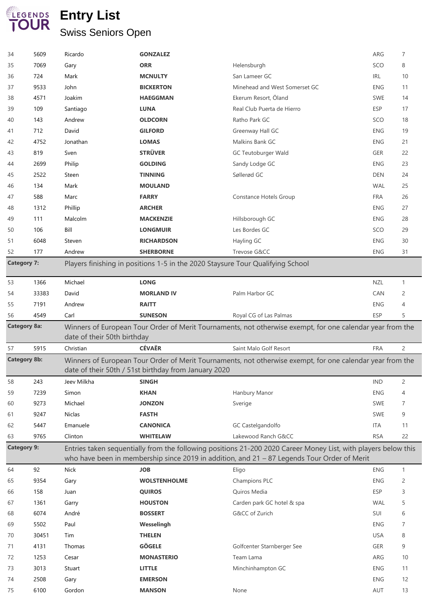## **Entry List** Swiss Seniors Open

| 34                                                                                                                                                              | 5609         | Ricardo        | <b>GONZALEZ</b>                                                                |                                                                                                                                       | ARG               | $\overline{7}$ |  |  |
|-----------------------------------------------------------------------------------------------------------------------------------------------------------------|--------------|----------------|--------------------------------------------------------------------------------|---------------------------------------------------------------------------------------------------------------------------------------|-------------------|----------------|--|--|
| 35                                                                                                                                                              | 7069         | Gary           | <b>ORR</b>                                                                     | Helensburgh                                                                                                                           | SCO               | 8              |  |  |
| 36                                                                                                                                                              | 724          | Mark           | <b>MCNULTY</b>                                                                 | San Lameer GC                                                                                                                         | IRL               | 10             |  |  |
| 37                                                                                                                                                              | 9533         | John           | <b>BICKERTON</b>                                                               | Minehead and West Somerset GC                                                                                                         | <b>ENG</b>        | 11             |  |  |
| 38                                                                                                                                                              | 4571         | Joakim         | <b>HAEGGMAN</b>                                                                | Ekerum Resort, Öland                                                                                                                  | <b>SWE</b>        | 14             |  |  |
| 39                                                                                                                                                              | 109          | Santiago       | <b>LUNA</b>                                                                    | Real Club Puerta de Hierro                                                                                                            | <b>ESP</b>        | 17             |  |  |
| 40                                                                                                                                                              | 143          | Andrew         | <b>OLDCORN</b>                                                                 | Ratho Park GC                                                                                                                         | SCO               | 18             |  |  |
| 41                                                                                                                                                              | 712          | David          | <b>GILFORD</b>                                                                 | Greenway Hall GC                                                                                                                      | <b>ENG</b>        | 19             |  |  |
| 42                                                                                                                                                              | 4752         | Jonathan       | <b>LOMAS</b>                                                                   | Malkins Bank GC                                                                                                                       | <b>ENG</b>        | 21             |  |  |
| 43                                                                                                                                                              | 819          | Sven           | <b>STRÜVER</b>                                                                 | <b>GC Teutoburger Wald</b>                                                                                                            | <b>GER</b>        | 22             |  |  |
| 44                                                                                                                                                              | 2699         | Philip         | <b>GOLDING</b>                                                                 | Sandy Lodge GC                                                                                                                        | <b>ENG</b>        | 23             |  |  |
| 45                                                                                                                                                              | 2522         | Steen          | <b>TINNING</b>                                                                 | Søllerød GC                                                                                                                           | <b>DEN</b>        | 24             |  |  |
| 46                                                                                                                                                              | 134          | Mark           | <b>MOULAND</b>                                                                 |                                                                                                                                       | <b>WAL</b>        | 25             |  |  |
| 47                                                                                                                                                              | 588          | Marc           | <b>FARRY</b>                                                                   | Constance Hotels Group                                                                                                                | <b>FRA</b>        | 26             |  |  |
| 48                                                                                                                                                              | 1312         | Phillip        | <b>ARCHER</b>                                                                  |                                                                                                                                       | <b>ENG</b>        | 27             |  |  |
| 49                                                                                                                                                              | 111          | Malcolm        | <b>MACKENZIE</b>                                                               | Hillsborough GC                                                                                                                       | <b>ENG</b>        | 28             |  |  |
| 50                                                                                                                                                              | 106          | Bill           | <b>LONGMUIR</b>                                                                | Les Bordes GC                                                                                                                         | SCO               | 29             |  |  |
| 51                                                                                                                                                              | 6048         | Steven         | <b>RICHARDSON</b>                                                              | Hayling GC                                                                                                                            | <b>ENG</b>        | 30             |  |  |
| 52                                                                                                                                                              | 177          | Andrew         | <b>SHERBORNE</b>                                                               | Trevose G&CC                                                                                                                          | <b>ENG</b>        | 31             |  |  |
| <b>Category 7:</b>                                                                                                                                              |              |                | Players finishing in positions 1-5 in the 2020 Staysure Tour Qualifying School |                                                                                                                                       |                   |                |  |  |
|                                                                                                                                                                 |              |                |                                                                                |                                                                                                                                       |                   |                |  |  |
| 53                                                                                                                                                              | 1366         | Michael        | <b>LONG</b>                                                                    |                                                                                                                                       | NZL               | $\mathbf{1}$   |  |  |
| 54                                                                                                                                                              | 33383        | David          | <b>MORLAND IV</b>                                                              | Palm Harbor GC                                                                                                                        | CAN               | 2              |  |  |
| 55                                                                                                                                                              | 7191         | Andrew         | <b>RAITT</b>                                                                   |                                                                                                                                       | <b>ENG</b>        | 4              |  |  |
| 56                                                                                                                                                              | 4549         | Carl           | <b>SUNESON</b>                                                                 | Royal CG of Las Palmas                                                                                                                | ESP               | 5              |  |  |
| <b>Category 8a:</b><br>Winners of European Tour Order of Merit Tournaments, not otherwise exempt, for one calendar year from the<br>date of their 50th birthday |              |                |                                                                                |                                                                                                                                       |                   |                |  |  |
|                                                                                                                                                                 |              |                |                                                                                |                                                                                                                                       |                   |                |  |  |
| 57                                                                                                                                                              | 5915         | Christian      | <b>CÉVAËR</b>                                                                  | Saint Malo Golf Resort                                                                                                                | <b>FRA</b>        | $\overline{c}$ |  |  |
| <b>Category 8b:</b>                                                                                                                                             |              |                |                                                                                | Winners of European Tour Order of Merit Tournaments, not otherwise exempt, for one calendar year from the                             |                   |                |  |  |
|                                                                                                                                                                 |              | Jeev Milkha    | date of their 50th / 51st birthday from January 2020                           |                                                                                                                                       | <b>IND</b>        |                |  |  |
| 58<br>59                                                                                                                                                        | 243          | Simon          | <b>SINGH</b><br><b>KHAN</b>                                                    |                                                                                                                                       | <b>ENG</b>        | 2<br>4         |  |  |
|                                                                                                                                                                 | 7239         | Michael        | <b>JONZON</b>                                                                  | Hanbury Manor                                                                                                                         | SWE               | 7              |  |  |
| 60                                                                                                                                                              | 9273         |                |                                                                                | Sverige                                                                                                                               |                   |                |  |  |
| 61                                                                                                                                                              | 9247         | Niclas         | <b>FASTH</b>                                                                   |                                                                                                                                       | <b>SWE</b>        | 9              |  |  |
| 62                                                                                                                                                              | 5447         | Emanuele       | <b>CANONICA</b>                                                                | GC Castelgandolfo                                                                                                                     | ITA               | 11             |  |  |
| 63<br><b>Category 9:</b>                                                                                                                                        | 9765         | Clinton        | <b>WHITELAW</b>                                                                | Lakewood Ranch G&CC<br>Entries taken sequentially from the following positions 21-200 2020 Career Money List, with players below this | <b>RSA</b>        | 22             |  |  |
| 64                                                                                                                                                              | 92           | <b>Nick</b>    | <b>JOB</b>                                                                     | who have been in membership since 2019 in addition, and $21 - 87$ Legends Tour Order of Merit<br>Eligo                                | <b>ENG</b>        | $\mathbf{1}$   |  |  |
| 65                                                                                                                                                              | 9354         | Gary           | <b>WOLSTENHOLME</b>                                                            | Champions PLC                                                                                                                         | <b>ENG</b>        | $\overline{c}$ |  |  |
| 66                                                                                                                                                              | 158          | Juan           | <b>QUIROS</b>                                                                  | Quiros Media                                                                                                                          | <b>ESP</b>        | 3              |  |  |
| 67                                                                                                                                                              | 1361         | Garry          | <b>HOUSTON</b>                                                                 |                                                                                                                                       | <b>WAL</b>        | 5              |  |  |
| 68                                                                                                                                                              | 6074         | André          | <b>BOSSERT</b>                                                                 | Carden park GC hotel & spa<br>G&CC of Zurich                                                                                          | SUI               | 6              |  |  |
| 69                                                                                                                                                              | 5502         | Paul           | Wesselingh                                                                     |                                                                                                                                       | <b>ENG</b>        | $\overline{7}$ |  |  |
| 70                                                                                                                                                              | 30451        | Tim            | <b>THELEN</b>                                                                  |                                                                                                                                       | <b>USA</b>        | 8              |  |  |
| 71                                                                                                                                                              |              | Thomas         |                                                                                |                                                                                                                                       | <b>GER</b>        | 9              |  |  |
|                                                                                                                                                                 | 4131         |                | <b>GÖGELE</b>                                                                  | Golfcenter Starnberger See                                                                                                            |                   |                |  |  |
| 72                                                                                                                                                              | 1253         | Cesar          | <b>MONASTERIO</b>                                                              | Team Lama                                                                                                                             | ARG               | 10             |  |  |
| 73                                                                                                                                                              | 3013         | Stuart         | <b>LITTLE</b>                                                                  | Minchinhampton GC                                                                                                                     | <b>ENG</b>        | 11             |  |  |
| 74<br>75                                                                                                                                                        | 2508<br>6100 | Gary<br>Gordon | <b>EMERSON</b><br><b>MANSON</b>                                                | None                                                                                                                                  | <b>ENG</b><br>AUT | 12<br>13       |  |  |